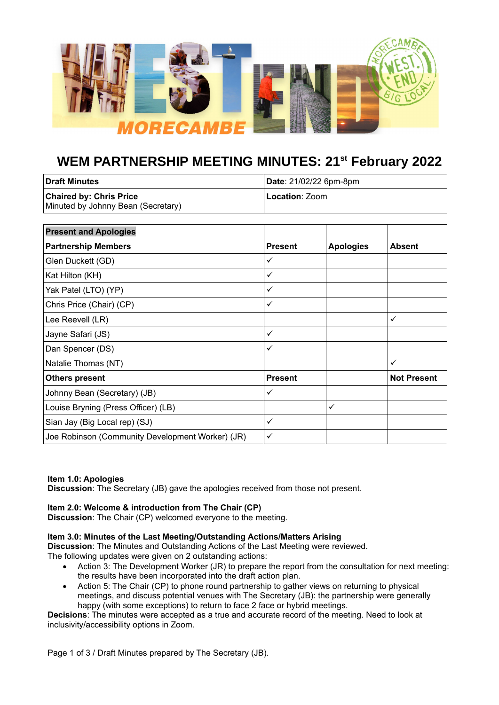

# **WEM PARTNERSHIP MEETING MINUTES: 21st February 2022**

| l Draft Minutes                    | Date: 21/02/22 6pm-8pm |  |
|------------------------------------|------------------------|--|
| <b>Chaired by: Chris Price</b>     | Location: Zoom         |  |
| Minuted by Johnny Bean (Secretary) |                        |  |

| <b>Present and Apologies</b>                     |                |                  |                    |
|--------------------------------------------------|----------------|------------------|--------------------|
| <b>Partnership Members</b>                       | <b>Present</b> | <b>Apologies</b> | <b>Absent</b>      |
| Glen Duckett (GD)                                | ✓              |                  |                    |
| Kat Hilton (KH)                                  | ✓              |                  |                    |
| Yak Patel (LTO) (YP)                             | ✓              |                  |                    |
| Chris Price (Chair) (CP)                         | ✓              |                  |                    |
| Lee Reevell (LR)                                 |                |                  | ✓                  |
| Jayne Safari (JS)                                | ✓              |                  |                    |
| Dan Spencer (DS)                                 | ✓              |                  |                    |
| Natalie Thomas (NT)                              |                |                  | ✓                  |
| <b>Others present</b>                            | <b>Present</b> |                  | <b>Not Present</b> |
| Johnny Bean (Secretary) (JB)                     | ✓              |                  |                    |
| Louise Bryning (Press Officer) (LB)              |                | ✓                |                    |
| Sian Jay (Big Local rep) (SJ)                    | ✓              |                  |                    |
| Joe Robinson (Community Development Worker) (JR) | ✓              |                  |                    |

## **Item 1.0: Apologies**

**Discussion**: The Secretary (JB) gave the apologies received from those not present.

## **Item 2.0: Welcome & introduction from The Chair (CP)**

**Discussion**: The Chair (CP) welcomed everyone to the meeting.

## **Item 3.0: Minutes of the Last Meeting/Outstanding Actions/Matters Arising**

**Discussion**: The Minutes and Outstanding Actions of the Last Meeting were reviewed. The following updates were given on 2 outstanding actions:

- Action 3: The Development Worker (JR) to prepare the report from the consultation for next meeting: the results have been incorporated into the draft action plan.
- Action 5: The Chair (CP) to phone round partnership to gather views on returning to physical meetings, and discuss potential venues with The Secretary (JB): the partnership were generally happy (with some exceptions) to return to face 2 face or hybrid meetings.

**Decisions**: The minutes were accepted as a true and accurate record of the meeting. Need to look at inclusivity/accessibility options in Zoom.

Page 1 of 3 / Draft Minutes prepared by The Secretary (JB).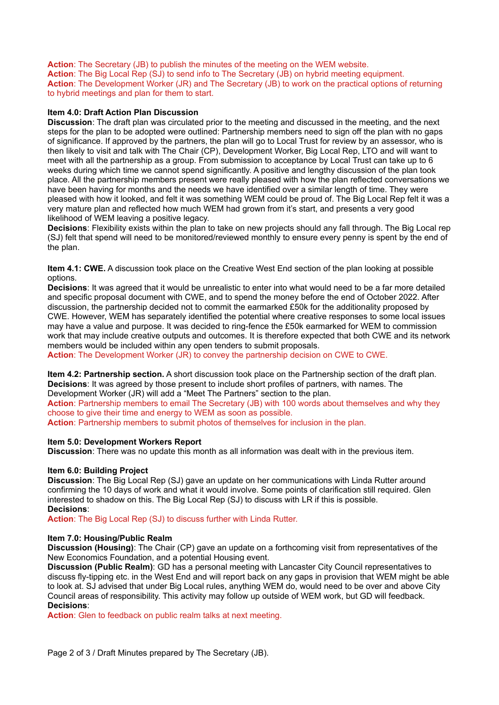**Action**: The Secretary (JB) to publish the minutes of the meeting on the WEM website. **Action**: The Big Local Rep (SJ) to send info to The Secretary (JB) on hybrid meeting equipment. **Action**: The Development Worker (JR) and The Secretary (JB) to work on the practical options of returning to hybrid meetings and plan for them to start.

## **Item 4.0: Draft Action Plan Discussion**

**Discussion**: The draft plan was circulated prior to the meeting and discussed in the meeting, and the next steps for the plan to be adopted were outlined: Partnership members need to sign off the plan with no gaps of significance. If approved by the partners, the plan will go to Local Trust for review by an assessor, who is then likely to visit and talk with The Chair (CP), Development Worker, Big Local Rep, LTO and will want to meet with all the partnership as a group. From submission to acceptance by Local Trust can take up to 6 weeks during which time we cannot spend significantly. A positive and lengthy discussion of the plan took place. All the partnership members present were really pleased with how the plan reflected conversations we have been having for months and the needs we have identified over a similar length of time. They were pleased with how it looked, and felt it was something WEM could be proud of. The Big Local Rep felt it was a very mature plan and reflected how much WEM had grown from it's start, and presents a very good likelihood of WEM leaving a positive legacy.

**Decisions**: Flexibility exists within the plan to take on new projects should any fall through. The Big Local rep (SJ) felt that spend will need to be monitored/reviewed monthly to ensure every penny is spent by the end of the plan.

**Item 4.1: CWE.** A discussion took place on the Creative West End section of the plan looking at possible options.

**Decisions**: It was agreed that it would be unrealistic to enter into what would need to be a far more detailed and specific proposal document with CWE, and to spend the money before the end of October 2022. After discussion, the partnership decided not to commit the earmarked £50k for the additionality proposed by CWE. However, WEM has separately identified the potential where creative responses to some local issues may have a value and purpose. It was decided to ring-fence the £50k earmarked for WEM to commission work that may include creative outputs and outcomes. It is therefore expected that both CWE and its network members would be included within any open tenders to submit proposals.

**Action:** The Development Worker (JR) to convey the partnership decision on CWE to CWE.

**Item 4.2: Partnership section.** A short discussion took place on the Partnership section of the draft plan. **Decisions**: It was agreed by those present to include short profiles of partners, with names. The Development Worker (JR) will add a "Meet The Partners" section to the plan.

**Action**: Partnership members to email The Secretary (JB) with 100 words about themselves and why they choose to give their time and energy to WEM as soon as possible.

**Action**: Partnership members to submit photos of themselves for inclusion in the plan.

### **Item 5.0: Development Workers Report**

**Discussion**: There was no update this month as all information was dealt with in the previous item.

### **Item 6.0: Building Project**

**Discussion**: The Big Local Rep (SJ) gave an update on her communications with Linda Rutter around confirming the 10 days of work and what it would involve. Some points of clarification still required. Glen interested to shadow on this. The Big Local Rep (SJ) to discuss with LR if this is possible. **Decisions**:

**Action**: The Big Local Rep (SJ) to discuss further with Linda Rutter.

### **Item 7.0: Housing/Public Realm**

**Discussion (Housing)**: The Chair (CP) gave an update on a forthcoming visit from representatives of the New Economics Foundation, and a potential Housing event.

**Discussion (Public Realm)**: GD has a personal meeting with Lancaster City Council representatives to discuss fly-tipping etc. in the West End and will report back on any gaps in provision that WEM might be able to look at. SJ advised that under Big Local rules, anything WEM do, would need to be over and above City Council areas of responsibility. This activity may follow up outside of WEM work, but GD will feedback. **Decisions**:

**Action**: Glen to feedback on public realm talks at next meeting.

Page 2 of 3 / Draft Minutes prepared by The Secretary (JB).